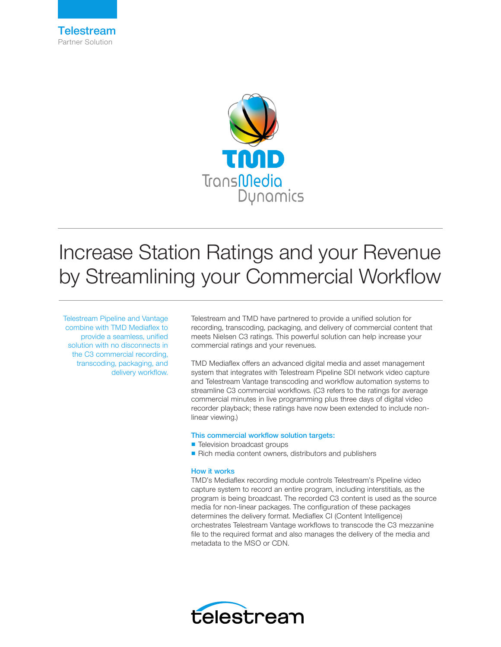



# Increase Station Ratings and your Revenue by Streamlining your Commercial Workflow

Telestream Pipeline and Vantage combine with TMD Mediaflex to provide a seamless, unified solution with no disconnects in the C3 commercial recording, transcoding, packaging, and delivery workflow.

Telestream and TMD have partnered to provide a unified solution for recording, transcoding, packaging, and delivery of commercial content that meets Nielsen C3 ratings. This powerful solution can help increase your commercial ratings and your revenues.

TMD Mediaflex offers an advanced digital media and asset management system that integrates with Telestream Pipeline SDI network video capture and Telestream Vantage transcoding and workflow automation systems to streamline C3 commercial workflows. (C3 refers to the ratings for average commercial minutes in live programming plus three days of digital video recorder playback; these ratings have now been extended to include nonlinear viewing.)

### This commercial workflow solution targets:

- Television broadcast groups
- Rich media content owners, distributors and publishers

### How it works

TMD's Mediaflex recording module controls Telestream's Pipeline video capture system to record an entire program, including interstitials, as the program is being broadcast. The recorded C3 content is used as the source media for non-linear packages. The configuration of these packages determines the delivery format. Mediaflex CI (Content Intelligence) orchestrates Telestream Vantage workflows to transcode the C3 mezzanine file to the required format and also manages the delivery of the media and metadata to the MSO or CDN.